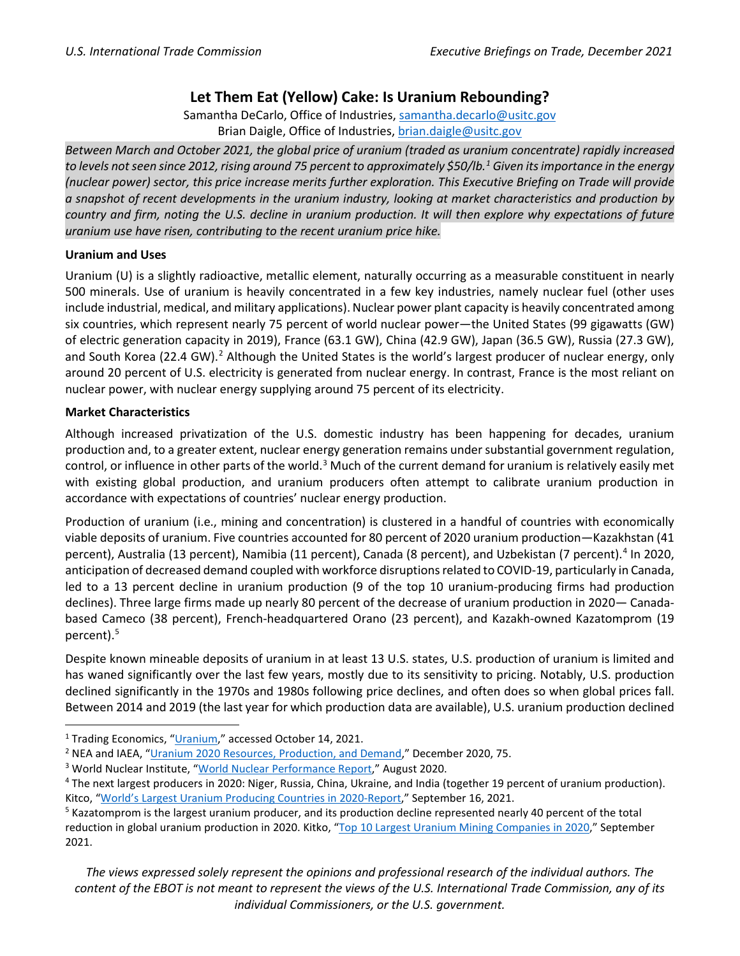## **Let Them Eat (Yellow) Cake: Is Uranium Rebounding?**

Samantha DeCarlo, Office of Industries, [samantha.decarlo@usitc.gov](mailto:samantha.decarlo@usitc.gov) Brian Daigle, Office of Industries, [brian.daigle@usitc.gov](mailto:brian.daigle@usitc.gov)

*Between March and October 2021, the global price of uranium (traded as uranium concentrate) rapidly increased to levels notseen since 2012, rising around 75 percent to approximately \$50/lb. [1](#page-0-0) Given its importance in the energy (nuclear power) sector, this price increase merits further exploration. This Executive Briefing on Trade will provide a snapshot of recent developments in the uranium industry, looking at market characteristics and production by country and firm, noting the U.S. decline in uranium production. It will then explore why expectations of future uranium use have risen, contributing to the recent uranium price hike.* 

## **Uranium and Uses**

Uranium (U) is a slightly radioactive, metallic element, naturally occurring as a measurable constituent in nearly 500 minerals. Use of uranium is heavily concentrated in a few key industries, namely nuclear fuel (other uses include industrial, medical, and military applications). Nuclear power plant capacity is heavily concentrated among six countries, which represent nearly 75 percent of world nuclear power―the United States (99 gigawatts (GW) of electric generation capacity in 2019), France (63.1 GW), China (42.9 GW), Japan (36.5 GW), Russia (27.3 GW), and South Korea ([2](#page-0-1)2.4 GW).<sup>2</sup> Although the United States is the world's largest producer of nuclear energy, only around 20 percent of U.S. electricity is generated from nuclear energy. In contrast, France is the most reliant on nuclear power, with nuclear energy supplying around 75 percent of its electricity.

## **Market Characteristics**

Although increased privatization of the U.S. domestic industry has been happening for decades, uranium production and, to a greater extent, nuclear energy generation remains under substantial government regulation, control, or influence in other parts of the world.<sup>[3](#page-0-2)</sup> Much of the current demand for uranium is relatively easily met with existing global production, and uranium producers often attempt to calibrate uranium production in accordance with expectations of countries' nuclear energy production.

Production of uranium (i.e., mining and concentration) is clustered in a handful of countries with economically viable deposits of uranium. Five countries accounted for 80 percent of 2020 uranium production―Kazakhstan (41 percent), Australia (13 percent), Namibia (11 percent), Canada (8 percent), and Uzbekistan (7 percent).<sup>[4](#page-0-3)</sup> In 2020, anticipation of decreased demand coupled with workforce disruptions related to COVID-19, particularly in Canada, led to a 13 percent decline in uranium production (9 of the top 10 uranium-producing firms had production declines). Three large firms made up nearly 80 percent of the decrease of uranium production in 2020― Canadabased Cameco (38 percent), French-headquartered Orano (23 percent), and Kazakh-owned Kazatomprom (19 percent). [5](#page-0-4)

Despite known mineable deposits of uranium in at least 13 U.S. states, U.S. production of uranium is limited and has waned significantly over the last few years, mostly due to its sensitivity to pricing. Notably, U.S. production declined significantly in the 1970s and 1980s following price declines, and often does so when global prices fall. Between 2014 and 2019 (the last year for which production data are available), U.S. uranium production declined

*The views expressed solely represent the opinions and professional research of the individual authors. The content of the EBOT is not meant to represent the views of the U.S. International Trade Commission, any of its individual Commissioners, or the U.S. government.*

<span id="page-0-0"></span><sup>&</sup>lt;sup>1</sup> Trading Economics, ["Uranium,](https://tradingeconomics.com/commodity/uranium#:%7E:text=Uranium%20-%20data%2C%20forecasts%2C%20historical%20chart%20-%20was,to%20trade%20at%2030.30%20in%2012%20months%20time.)" accessed October 14, 2021.

<span id="page-0-1"></span><sup>2</sup> NEA and IAEA, ["Uranium 2020 Resources, Production, and Demand,"](https://www.oecd-nea.org/upload/docs/application/pdf/2020-12/7555_uranium_-_resources_production_and_demand_2020__web.pdf) December 2020, 75.

<span id="page-0-2"></span><sup>&</sup>lt;sup>3</sup> World Nuclear Institute, ["World Nuclear Performance Report,](https://www.world-nuclear.org/getmedia/3418bf4a-5891-4ba1-b6c2-d83d8907264d/performance-report-2020-v1.pdf.aspx)" August 2020.

<span id="page-0-3"></span><sup>4</sup> The next largest producers in 2020: Niger, Russia, China, Ukraine, and India (together 19 percent of uranium production). Kitco, "World's Largest Uranium Producing Countries [in 2020-Report,](https://www.kitco.com/news/2021-09-16/World-s-largest-uranium-producing-countries-in-2020-report.html)" September 16, 2021.<br><sup>5</sup> Kazatomprom is the largest uranium producer, and its production decline represented nearly 40 percent of the total

<span id="page-0-4"></span>reduction in global uranium production in 2020. Kitko, "Top 10 [Largest Uranium Mining Companies](https://www.kitco.com/news/2021-09-24/Top-10-largest-uranium-mining-companies-in-2020.html) in 2020," September 2021.